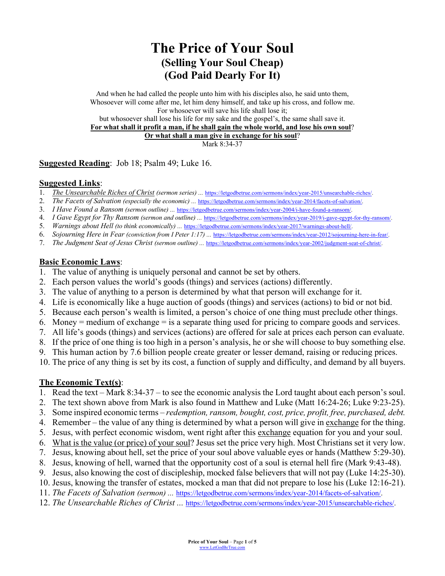# **The Price of Your Soul (Selling Your Soul Cheap) (God Paid Dearly For It)**

And when he had called the people unto him with his disciples also, he said unto them, Whosoever will come after me, let him deny himself, and take up his cross, and follow me. For whosoever will save his life shall lose it; but whosoever shall lose his life for my sake and the gospel's, the same shall save it. **For what shall it profit a man, if he shall gain the whole world, and lose his own soul**? **Or what shall a man give in exchange for his soul**? Mark 8:34-37

**Suggested Reading**: Job 18; Psalm 49; Luke 16.

#### **Suggested Links**:

- 1. *The Unsearchable Riches of Christ (sermon series) ...* https://letgodbetrue.com/sermons/index/year-2015/unsearchable-riches/.
- 2. *The Facets of Salvation (especially the economic) ...* https://letgodbetrue.com/sermons/index/year-2014/facets-of-salvation/.
- 3. *I Have Found a Ransom (sermon outline) ...* https://letgodbetrue.com/sermons/index/year-2004/i-have-found-a-ransom/.
- 4. *I Gave Egypt for Thy Ransom (sermon and outline) ...* https://letgodbetrue.com/sermons/index/year-2019/i-gave-egypt-for-thy-ransom/.
- 5. *Warnings about Hell (to think economically) ...* https://letgodbetrue.com/sermons/index/year-2017/warnings-about-hell/.
- 6. *Sojourning Here in Fear (conviction from I Peter 1:17) ...* https://letgodbetrue.com/sermons/index/year-2012/sojourning-here-in-fear/.
- 7. *The Judgment Seat of Jesus Christ (sermon outline) ...* https://letgodbetrue.com/sermons/index/year-2002/judgment-seat-of-christ/.

#### **Basic Economic Laws**:

- 1. The value of anything is uniquely personal and cannot be set by others.
- 2. Each person values the world's goods (things) and services (actions) differently.
- 3. The value of anything to a person is determined by what that person will exchange for it.
- 4. Life is economically like a huge auction of goods (things) and services (actions) to bid or not bid.
- 5. Because each person's wealth is limited, a person's choice of one thing must preclude other things.
- 6. Money = medium of exchange = is a separate thing used for pricing to compare goods and services.
- 7. All life's goods (things) and services (actions) are offered for sale at prices each person can evaluate.
- 8. If the price of one thing is too high in a person's analysis, he or she will choose to buy something else.
- 9. This human action by 7.6 billion people create greater or lesser demand, raising or reducing prices.
- 10. The price of any thing is set by its cost, a function of supply and difficulty, and demand by all buyers.

### **The Economic Text(s)**:

- 1. Read the text Mark 8:34-37 to see the economic analysis the Lord taught about each person's soul.
- 2. The text shown above from Mark is also found in Matthew and Luke (Matt 16:24-26; Luke 9:23-25).
- 3. Some inspired economic terms *redemption, ransom, bought, cost, price, profit, free, purchased, debt.*
- 4. Remember the value of any thing is determined by what a person will give in exchange for the thing.
- 5. Jesus, with perfect economic wisdom, went right after this exchange equation for you and your soul.
- 6. What is the value (or price) of your soul? Jesus set the price very high. Most Christians set it very low.
- 7. Jesus, knowing about hell, set the price of your soul above valuable eyes or hands (Matthew 5:29-30).
- 8. Jesus, knowing of hell, warned that the opportunity cost of a soul is eternal hell fire (Mark 9:43-48).
- 9. Jesus, also knowing the cost of discipleship, mocked false believers that will not pay (Luke 14:25-30).
- 10. Jesus, knowing the transfer of estates, mocked a man that did not prepare to lose his (Luke 12:16-21).
- 11. *The Facets of Salvation (sermon) ...* https://letgodbetrue.com/sermons/index/year-2014/facets-of-salvation/.
- 12. *The Unsearchable Riches of Christ ...* https://letgodbetrue.com/sermons/index/year-2015/unsearchable-riches/.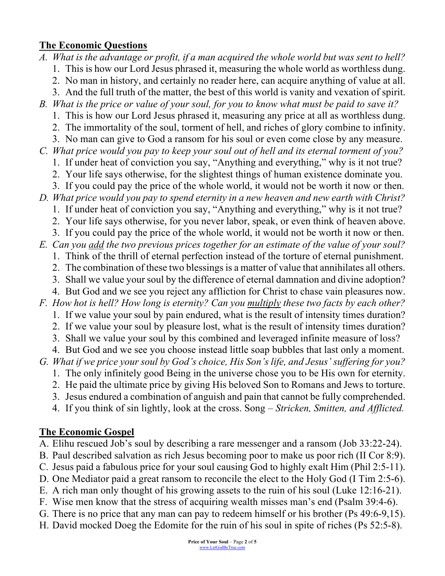## **The Economic Questions**

*A. What is the advantage or profit, if a man acquired the whole world but was sent to hell?* 1. This is how our Lord Jesus phrased it, measuring the whole world as worthless dung. 2. No man in history, and certainly no reader here, can acquire anything of value at all. 3. And the full truth of the matter, the best of this world is vanity and vexation of spirit. *B. What is the price or value of your soul, for you to know what must be paid to save it?* 1. This is how our Lord Jesus phrased it, measuring any price at all as worthless dung. 2. The immortality of the soul, torment of hell, and riches of glory combine to infinity. 3. No man can give to God a ransom for his soul or even come close by any measure. *C. What price would you pay to keep your soul out of hell and its eternal torment of you?*

1. If under heat of conviction you say, "Anything and everything," why is it not true?

- 2. Your life says otherwise, for the slightest things of human existence dominate you.
- 3. If you could pay the price of the whole world, it would not be worth it now or then.
- *D. What price would you pay to spend eternity in a new heaven and new earth with Christ?*
	- 1. If under heat of conviction you say, "Anything and everything," why is it not true?
	- 2. Your life says otherwise, for you never labor, speak, or even think of heaven above.
	- 3. If you could pay the price of the whole world, it would not be worth it now or then.
- *E. Can you add the two previous prices together for an estimate of the value of your soul?* 1. Think of the thrill of eternal perfection instead of the torture of eternal punishment.
	- 2. The combination of these two blessings is a matter of value that annihilates all others.
	- 3. Shall we value your soul by the difference of eternal damnation and divine adoption?
	- 4. But God and we see you reject any affliction for Christ to chase vain pleasures now.

*F. How hot is hell? How long is eternity? Can you multiply these two facts by each other?*

- 1. If we value your soul by pain endured, what is the result of intensity times duration?
- 2. If we value your soul by pleasure lost, what is the result of intensity times duration?
- 3. Shall we value your soul by this combined and leveraged infinite measure of loss?
- 4. But God and we see you choose instead little soap bubbles that last only a moment.
- *G. What if we price your soul by God's choice, His Son's life, and Jesus' suffering for you?*
	- 1. The only infinitely good Being in the universe chose you to be His own for eternity.
	- 2. He paid the ultimate price by giving His beloved Son to Romans and Jews to torture.
	- 3. Jesus endured a combination of anguish and pain that cannot be fully comprehended.
	- 4. If you think of sin lightly, look at the cross. Song *Stricken, Smitten, and Afflicted.*

### **The Economic Gospel**

- A. Elihu rescued Job's soul by describing a rare messenger and a ransom (Job 33:22-24).
- B. Paul described salvation as rich Jesus becoming poor to make us poor rich (II Cor 8:9).
- C. Jesus paid a fabulous price for your soul causing God to highly exalt Him (Phil 2:5-11).
- D. One Mediator paid a great ransom to reconcile the elect to the Holy God (I Tim 2:5-6).
- E. A rich man only thought of his growing assets to the ruin of his soul (Luke 12:16-21).
- F. Wise men know that the stress of acquiring wealth misses man's end (Psalm 39:4-6).
- G. There is no price that any man can pay to redeem himself or his brother (Ps 49:6-9,15).
- H. David mocked Doeg the Edomite for the ruin of his soul in spite of riches (Ps 52:5-8).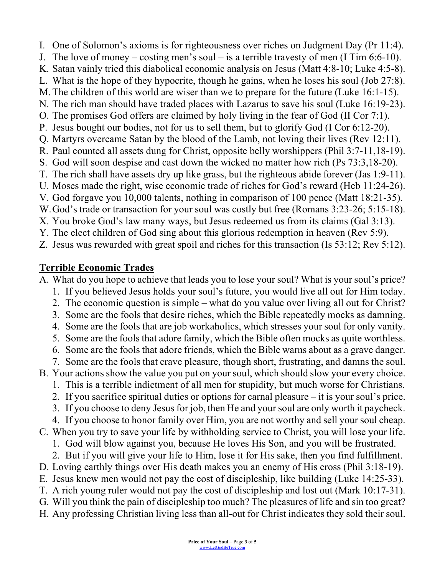I. One of Solomon's axioms is for righteousness over riches on Judgment Day (Pr 11:4). J. The love of money – costing men's soul – is a terrible travesty of men (I Tim 6:6-10). K. Satan vainly tried this diabolical economic analysis on Jesus (Matt 4:8-10; Luke 4:5-8). L. What is the hope of they hypocrite, though he gains, when he loses his soul (Job 27:8). M.The children of this world are wiser than we to prepare for the future (Luke 16:1-15). N. The rich man should have traded places with Lazarus to save his soul (Luke 16:19-23). O. The promises God offers are claimed by holy living in the fear of God (II Cor 7:1). P. Jesus bought our bodies, not for us to sell them, but to glorify God (I Cor 6:12-20). Q. Martyrs overcame Satan by the blood of the Lamb, not loving their lives (Rev 12:11). R. Paul counted all assets dung for Christ, opposite belly worshippers (Phil 3:7-11,18-19). S. God will soon despise and cast down the wicked no matter how rich (Ps 73:3,18-20). T. The rich shall have assets dry up like grass, but the righteous abide forever (Jas 1:9-11). U. Moses made the right, wise economic trade of riches for God's reward (Heb 11:24-26). V. God forgave you 10,000 talents, nothing in comparison of 100 pence (Matt 18:21-35). W.God's trade or transaction for your soul was costly but free (Romans 3:23-26; 5:15-18). X. You broke God's law many ways, but Jesus redeemed us from its claims (Gal 3:13). Y. The elect children of God sing about this glorious redemption in heaven (Rev 5:9).

Z. Jesus was rewarded with great spoil and riches for this transaction (Is 53:12; Rev 5:12).

### **Terrible Economic Trades**

A. What do you hope to achieve that leads you to lose your soul? What is your soul's price?

- 1. If you believed Jesus holds your soul's future, you would live all out for Him today.
- 2. The economic question is simple what do you value over living all out for Christ?
- 3. Some are the fools that desire riches, which the Bible repeatedly mocks as damning.
- 4. Some are the fools that are job workaholics, which stresses your soul for only vanity.
- 5. Some are the fools that adore family, which the Bible often mocks as quite worthless.
- 6. Some are the fools that adore friends, which the Bible warns about as a grave danger.
- 7. Some are the fools that crave pleasure, though short, frustrating, and damns the soul.
- B. Your actions show the value you put on your soul, which should slow your every choice.
	- 1. This is a terrible indictment of all men for stupidity, but much worse for Christians.
	- 2. If you sacrifice spiritual duties or options for carnal pleasure it is your soul's price.
	- 3. If you choose to deny Jesus for job, then He and your soul are only worth it paycheck.
	- 4. If you choose to honor family over Him, you are not worthy and sell your soul cheap.
- C. When you try to save your life by withholding service to Christ, you will lose your life.
	- 1. God will blow against you, because He loves His Son, and you will be frustrated.
	- 2. But if you will give your life to Him, lose it for His sake, then you find fulfillment.
- D. Loving earthly things over His death makes you an enemy of His cross (Phil 3:18-19).
- E. Jesus knew men would not pay the cost of discipleship, like building (Luke 14:25-33).
- T. A rich young ruler would not pay the cost of discipleship and lost out (Mark 10:17-31).
- G. Will you think the pain of discipleship too much? The pleasures of life and sin too great?
- H. Any professing Christian living less than all-out for Christ indicates they sold their soul.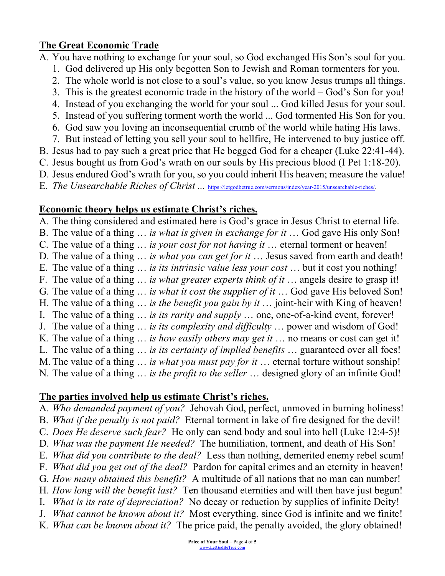# **The Great Economic Trade**

- A. You have nothing to exchange for your soul, so God exchanged His Son's soul for you.
	- 1. God delivered up His only begotten Son to Jewish and Roman tormenters for you.
	- 2. The whole world is not close to a soul's value, so you know Jesus trumps all things.
	- 3. This is the greatest economic trade in the history of the world God's Son for you!
	- 4. Instead of you exchanging the world for your soul ... God killed Jesus for your soul.
	- 5. Instead of you suffering torment worth the world ... God tormented His Son for you.
	- 6. God saw you loving an inconsequential crumb of the world while hating His laws.
	- 7. But instead of letting you sell your soul to hellfire, He intervened to buy justice off.
- B. Jesus had to pay such a great price that He begged God for a cheaper (Luke 22:41-44).
- C. Jesus bought us from God's wrath on our souls by His precious blood (I Pet 1:18-20).
- D. Jesus endured God's wrath for you, so you could inherit His heaven; measure the value!
- E. *The Unsearchable Riches of Christ ...* https://letgodbetrue.com/sermons/index/year-2015/unsearchable-riches/.

# **Economic theory helps us estimate Christ's riches.**

A. The thing considered and estimated here is God's grace in Jesus Christ to eternal life.

- B. The value of a thing … *is what is given in exchange for it* … God gave His only Son!
- C. The value of a thing … *is your cost for not having it* … eternal torment or heaven!
- D. The value of a thing … *is what you can get for it* … Jesus saved from earth and death!
- E. The value of a thing … *is its intrinsic value less your cost* … but it cost you nothing!
- F. The value of a thing … *is what greater experts think of it* … angels desire to grasp it!
- G. The value of a thing … *is what it cost the supplier of it* … God gave His beloved Son!
- H. The value of a thing … *is the benefit you gain by it* … joint-heir with King of heaven!
- I. The value of a thing … *is its rarity and supply* … one, one-of-a-kind event, forever!
- J. The value of a thing … *is its complexity and difficulty* … power and wisdom of God!
- K. The value of a thing … *is how easily others may get it* … no means or cost can get it!
- L. The value of a thing … *is its certainty of implied benefits* … guaranteed over all foes!
- M.The value of a thing … *is what you must pay for it* … eternal torture without sonship!
- N. The value of a thing … *is the profit to the seller* … designed glory of an infinite God!

# **The parties involved help us estimate Christ's riches.**

- A. *Who demanded payment of you?* Jehovah God, perfect, unmoved in burning holiness!
- B. *What if the penalty is not paid?* Eternal torment in lake of fire designed for the devil!
- C. *Does He deserve such fear?* He only can send body and soul into hell (Luke 12:4-5)!
- D. *What was the payment He needed?* The humiliation, torment, and death of His Son!
- E. *What did you contribute to the deal?* Less than nothing, demerited enemy rebel scum!
- F. *What did you get out of the deal?* Pardon for capital crimes and an eternity in heaven!
- G. *How many obtained this benefit?* A multitude of all nations that no man can number!
- H. *How long will the benefit last?* Ten thousand eternities and will then have just begun!
- I. *What is its rate of depreciation?* No decay or reduction by supplies of infinite Deity!
- J. *What cannot be known about it?* Most everything, since God is infinite and we finite!
- K. *What can be known about it?* The price paid, the penalty avoided, the glory obtained!